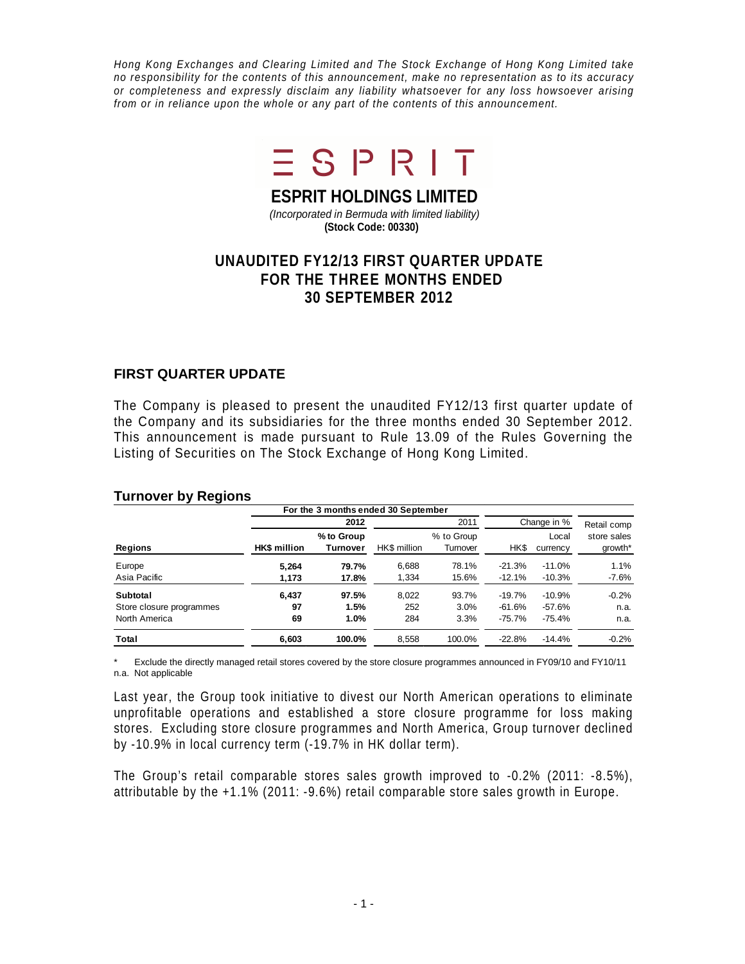Hong Kong Exchanges and Clearing Limited and The Stock Exchange of Hong Kong Limited take no responsibility for the contents of this announcement, make no representation as to its accuracy or completeness and expressly disclaim any liability whatsoever for any loss howsoever arising from or in reliance upon the whole or any part of the contents of this announcement.



**ESPRIT HOLDINGS LIMITED**

(Incorporated in Bermuda with limited liability) **(Stock Code: 00330)**

# **UNAUDITED FY12/13 FIRST QUARTER UPDATE FOR THE THREE MONTHS ENDED 30 SEPTEMBER 2012**

## **FIRST QUARTER UPDATE**

The Company is pleased to present the unaudited FY12/13 first quarter update of the Company and its subsidiaries for the three months ended 30 September 2012. This announcement is made pursuant to Rule 13.09 of the Rules Governing the Listing of Securities on The Stock Exchange of Hong Kong Limited.

|                          |                     | For the 3 months ended 30 September |              |                        |             |                   |                        |
|--------------------------|---------------------|-------------------------------------|--------------|------------------------|-------------|-------------------|------------------------|
|                          |                     | 2012                                |              | 2011                   | Change in % | Retail comp       |                        |
| Regions                  | <b>HK\$</b> million | % to Group<br>Turnover              | HK\$ million | % to Group<br>Turnover | HK\$        | Local<br>currency | store sales<br>growth* |
| Europe                   | 5.264               | 79.7%                               | 6,688        | 78.1%                  | $-21.3%$    | $-11.0%$          | 1.1%                   |
| Asia Pacific             | 1,173               | 17.8%                               | 1,334        | 15.6%                  | $-12.1%$    | $-10.3%$          | $-7.6%$                |
| Subtotal                 | 6,437               | 97.5%                               | 8,022        | 93.7%                  | $-19.7%$    | $-10.9%$          | $-0.2%$                |
| Store closure programmes | 97                  | 1.5%                                | 252          | 3.0%                   | $-61.6%$    | $-57.6%$          | n.a.                   |
| North America            | 69                  | 1.0%                                | 284          | 3.3%                   | $-75.7%$    | $-75.4%$          | n.a.                   |
| Total                    | 6,603               | 100.0%                              | 8,558        | 100.0%                 | $-22.8%$    | $-14.4%$          | $-0.2%$                |

#### **Turnover by Regions**

\* Exclude the directly managed retail stores covered by the store closure programmes announced in FY09/10 and FY10/11 n.a. Not applicable

Last year, the Group took initiative to divest our North American operations to eliminate unprofitable operations and established a store closure programme for loss making stores. Excluding store closure programmes and North America, Group turnover declined by -10.9% in local currency term (-19.7% in HK dollar term).

The Group's retail comparable stores sales growth improved to -0.2% (2011: -8.5%), attributable by the +1.1% (2011: -9.6%) retail comparable store sales growth in Europe.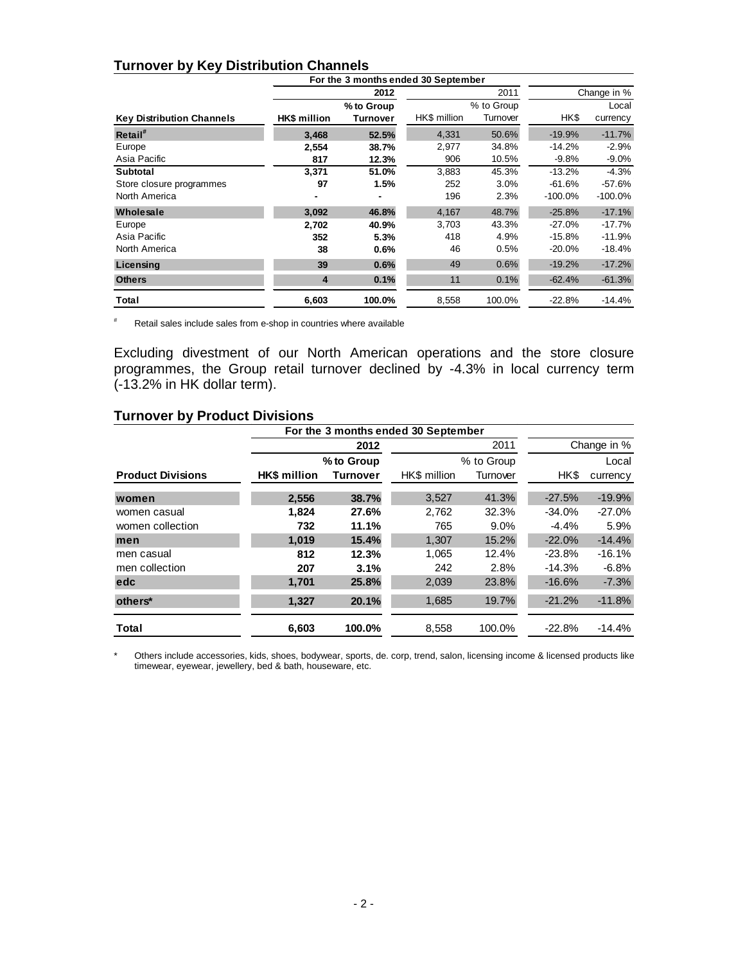## **Turnover by Key Distribution Channels**

|                                  | For the 3 months ended 30 September |                 |              |            |            |             |  |
|----------------------------------|-------------------------------------|-----------------|--------------|------------|------------|-------------|--|
|                                  |                                     | 2012            |              | 2011       |            | Change in % |  |
|                                  |                                     | % to Group      |              | % to Group |            | Local       |  |
| <b>Key Distribution Channels</b> | HK\$ million                        | <b>Turnover</b> | HK\$ million | Turnover   | HK\$       | currency    |  |
| Retail <sup>#</sup>              | 3.468                               | 52.5%           | 4,331        | 50.6%      | $-19.9%$   | $-11.7%$    |  |
| Europe                           | 2,554                               | 38.7%           | 2,977        | 34.8%      | $-14.2%$   | $-2.9%$     |  |
| Asia Pacific                     | 817                                 | 12.3%           | 906          | 10.5%      | $-9.8%$    | $-9.0%$     |  |
| <b>Subtotal</b>                  | 3,371                               | 51.0%           | 3,883        | 45.3%      | $-13.2%$   | $-4.3%$     |  |
| Store closure programmes         | 97                                  | 1.5%            | 252          | 3.0%       | $-61.6%$   | $-57.6%$    |  |
| North America                    |                                     |                 | 196          | 2.3%       | $-100.0\%$ | $-100.0\%$  |  |
| Wholesale                        | 3,092                               | 46.8%           | 4,167        | 48.7%      | $-25.8%$   | $-17.1%$    |  |
| Europe                           | 2,702                               | 40.9%           | 3,703        | 43.3%      | $-27.0%$   | $-17.7%$    |  |
| Asia Pacific                     | 352                                 | 5.3%            | 418          | 4.9%       | $-15.8%$   | $-11.9%$    |  |
| North America                    | 38                                  | 0.6%            | 46           | 0.5%       | $-20.0%$   | -18.4%      |  |
| Licensing                        | 39                                  | 0.6%            | 49           | 0.6%       | $-19.2%$   | $-17.2%$    |  |
| <b>Others</b>                    | $\overline{\mathbf{4}}$             | 0.1%            | 11           | 0.1%       | $-62.4%$   | $-61.3%$    |  |
| Total                            | 6,603                               | 100.0%          | 8,558        | 100.0%     | $-22.8%$   | $-14.4%$    |  |

# Retail sales include sales from e-shop in countries where available

Excluding divestment of our North American operations and the store closure programmes, the Group retail turnover declined by -4.3% in local currency term (-13.2% in HK dollar term).

#### **Turnover by Product Divisions**

|                          | For the 3 months ended 30 September |                 |              |            |          |          |
|--------------------------|-------------------------------------|-----------------|--------------|------------|----------|----------|
|                          | 2011<br>2012                        |                 |              |            |          |          |
|                          |                                     | % to Group      |              | % to Group |          | Local    |
| <b>Product Divisions</b> | <b>HK\$</b> million                 | <b>Turnover</b> | HK\$ million | Turnover   | HK\$     | currency |
| women                    | 2,556                               | 38.7%           | 3,527        | 41.3%      | $-27.5%$ | $-19.9%$ |
| women casual             | 1.824                               | 27.6%           | 2.762        | 32.3%      | $-34.0%$ | $-27.0%$ |
| women collection         | 732                                 | 11.1%           | 765          | $9.0\%$    | $-4.4%$  | 5.9%     |
| men                      | 1.019                               | 15.4%           | 1.307        | 15.2%      | $-22.0%$ | $-14.4%$ |
| men casual               | 812                                 | 12.3%           | 1.065        | 12.4%      | $-23.8%$ | $-16.1%$ |
| men collection           | 207                                 | 3.1%            | 242          | 2.8%       | $-14.3%$ | $-6.8%$  |
| edc                      | 1.701                               | 25.8%           | 2.039        | 23.8%      | $-16.6%$ | $-7.3%$  |
| others*                  | 1,327                               | 20.1%           | 1,685        | 19.7%      | $-21.2%$ | $-11.8%$ |
| Total                    | 6.603                               | 100.0%          | 8,558        | 100.0%     | $-22.8%$ | -14.4%   |

\* Others include accessories, kids, shoes, bodywear, sports, de. corp, trend, salon, licensing income & licensed products like timewear, eyewear, jewellery, bed & bath, houseware, etc.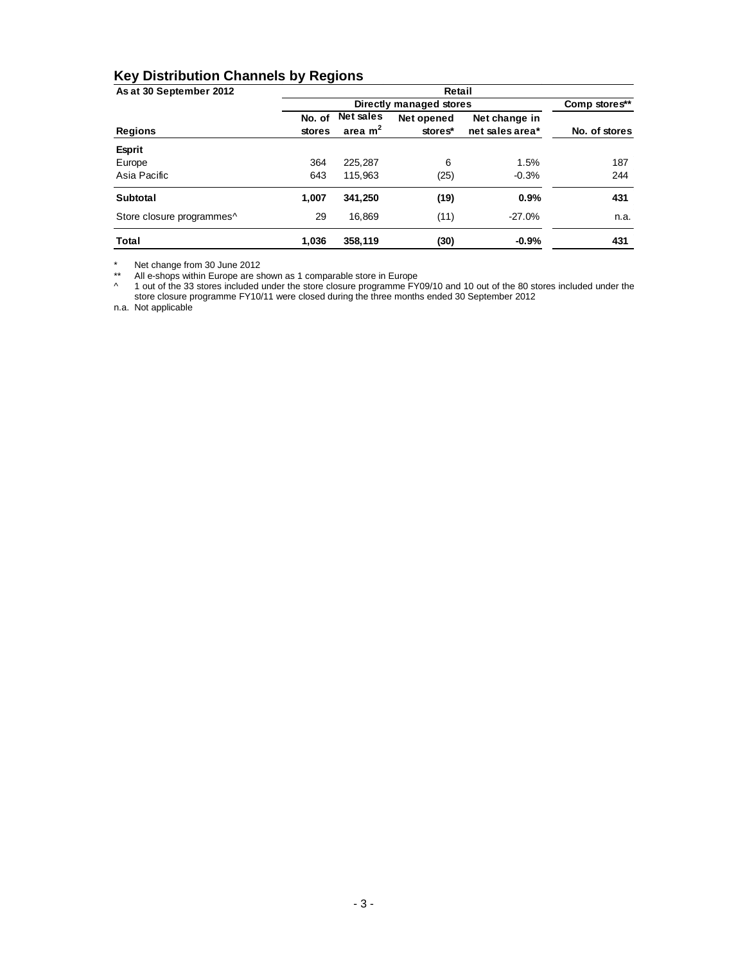# **Key Distribution Channels by Regions**

| As at 30 September 2012   | Retail        |                  |            |                 |               |  |  |  |  |  |  |
|---------------------------|---------------|------------------|------------|-----------------|---------------|--|--|--|--|--|--|
|                           |               | Comp stores**    |            |                 |               |  |  |  |  |  |  |
|                           | No. of        | <b>Net sales</b> | Net opened | Net change in   |               |  |  |  |  |  |  |
| Regions                   | <b>stores</b> | area $m2$        | stores*    | net sales area* | No. of stores |  |  |  |  |  |  |
| <b>Esprit</b>             |               |                  |            |                 |               |  |  |  |  |  |  |
| Europe                    | 364           | 225.287          | 6          | 1.5%            | 187           |  |  |  |  |  |  |
| Asia Pacific              | 643           | 115.963          | (25)       | $-0.3%$         | 244           |  |  |  |  |  |  |
| <b>Subtotal</b>           | 1,007         | 341.250          | (19)       | 0.9%            | 431           |  |  |  |  |  |  |
| Store closure programmes^ | 29            | 16,869           | (11)       | $-27.0%$        | n.a.          |  |  |  |  |  |  |
| Total                     | 1.036         | 358.119          | (30)       | $-0.9%$         | 431           |  |  |  |  |  |  |

\* Net change from 30 June 2012

\*\* All e-shops within Europe are shown as 1 comparable store in Europe

<sup>^</sup> 1 out of the 33 stores included under the store closure programme FY09/10 and 10 out of the 80 stores included under the store closure programme FY10/11 were closed during the three months ended 30 September 2012

n.a. Not applicable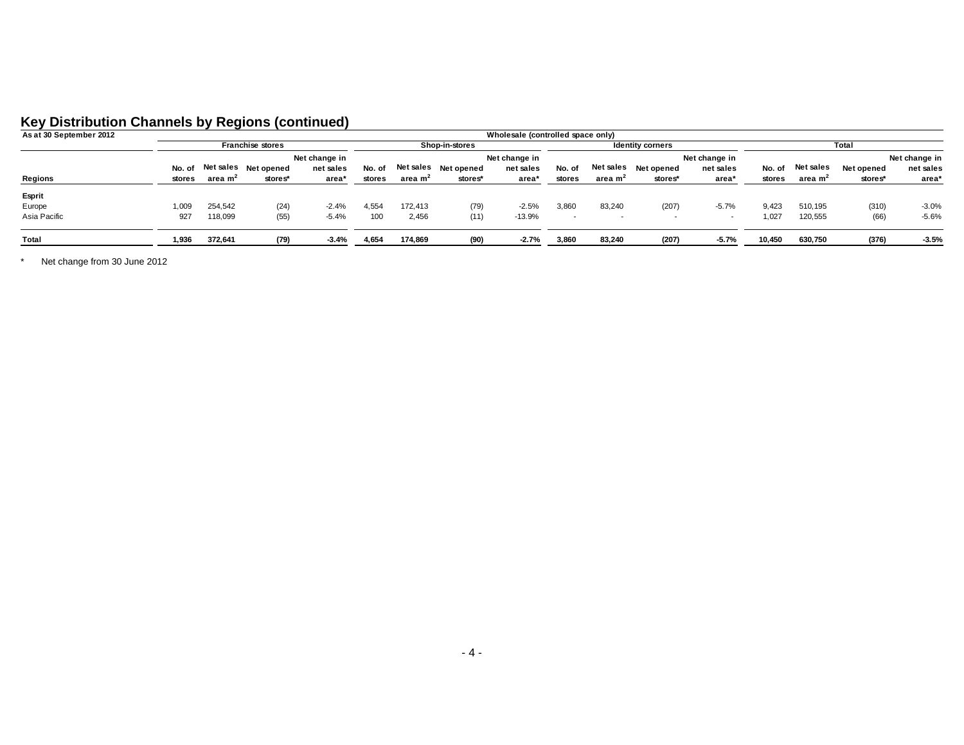## **Key Distribution Channels by Regions (continued)**

| As at 30 September 2012 |        | Wholesale (controlled space only) |                      |               |                |                     |                    |                         |        |                     |                      |           |        |                     |            |               |
|-------------------------|--------|-----------------------------------|----------------------|---------------|----------------|---------------------|--------------------|-------------------------|--------|---------------------|----------------------|-----------|--------|---------------------|------------|---------------|
|                         |        | <b>Franchise stores</b>           |                      |               | Shop-in-stores |                     |                    | <b>Identity corners</b> |        |                     | Total                |           |        |                     |            |               |
|                         |        |                                   |                      | Net change in |                |                     |                    | Net change in           |        |                     | Net change in        |           |        |                     |            | Net change in |
|                         | No. of |                                   | Net sales Net opened | net sales     | No. of         |                     | Netsales Netopened | net sales               | No. of |                     | Net sales Net opened | net sales | No. of | Net sales           | Net opened | net sales     |
| Regions                 | stores | area m <sup>2</sup>               | stores*              | area*         | stores         | area m <sup>2</sup> | stores*            | area*                   | stores | area m <sup>2</sup> | stores*              | area*     | stores | area m <sup>2</sup> | stores*    | area*         |
| Esprit                  |        |                                   |                      |               |                |                     |                    |                         |        |                     |                      |           |        |                     |            |               |
| Europe                  | ,009   | 254,542                           | (24)                 | $-2.4%$       | 4,554          | 172.413             | (79)               | $-2.5%$                 | 3,860  | 83,240              | (207)                | $-5.7%$   | 9.423  | 510.195             | (310)      | $-3.0%$       |
| Asia Pacific            | 927    | 118,099                           | (55)                 | $-5.4%$       | 100            | 2,456               | (11)               | $-13.9%$                |        |                     |                      |           | .027   | 120,555             | (66)       | $-5.6%$       |
| Total                   | 1,936  | 372.641                           | (79)                 | $-3.4%$       | 4,654          | 174.869             | (90)               | $-2.7%$                 | 3,860  | 83,240              | (207)                | $-5.7%$   | 10.450 | 630.750             | (376)      | $-3.5%$       |

\* Net change from 30 June 2012